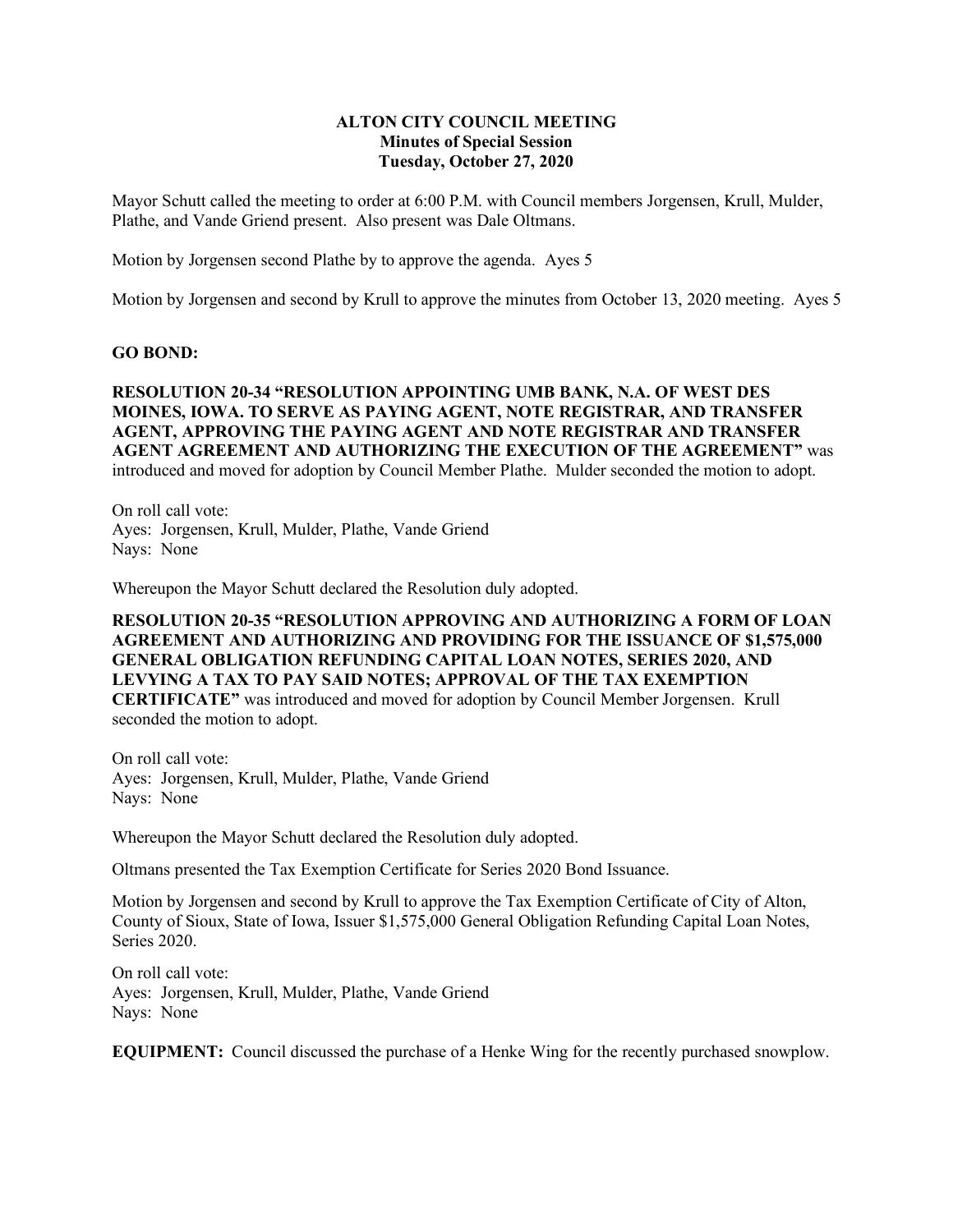## **ALTON CITY COUNCIL MEETING Minutes of Special Session Tuesday, October 27, 2020**

Mayor Schutt called the meeting to order at 6:00 P.M. with Council members Jorgensen, Krull, Mulder, Plathe, and Vande Griend present. Also present was Dale Oltmans.

Motion by Jorgensen second Plathe by to approve the agenda. Ayes 5

Motion by Jorgensen and second by Krull to approve the minutes from October 13, 2020 meeting. Ayes 5

## **GO BOND:**

**RESOLUTION 20-34 "RESOLUTION APPOINTING UMB BANK, N.A. OF WEST DES MOINES, IOWA. TO SERVE AS PAYING AGENT, NOTE REGISTRAR, AND TRANSFER AGENT, APPROVING THE PAYING AGENT AND NOTE REGISTRAR AND TRANSFER AGENT AGREEMENT AND AUTHORIZING THE EXECUTION OF THE AGREEMENT"** was introduced and moved for adoption by Council Member Plathe. Mulder seconded the motion to adopt.

On roll call vote: Ayes: Jorgensen, Krull, Mulder, Plathe, Vande Griend Nays: None

Whereupon the Mayor Schutt declared the Resolution duly adopted.

**RESOLUTION 20-35 "RESOLUTION APPROVING AND AUTHORIZING A FORM OF LOAN AGREEMENT AND AUTHORIZING AND PROVIDING FOR THE ISSUANCE OF \$1,575,000 GENERAL OBLIGATION REFUNDING CAPITAL LOAN NOTES, SERIES 2020, AND LEVYING A TAX TO PAY SAID NOTES; APPROVAL OF THE TAX EXEMPTION CERTIFICATE"** was introduced and moved for adoption by Council Member Jorgensen. Krull seconded the motion to adopt.

On roll call vote: Ayes: Jorgensen, Krull, Mulder, Plathe, Vande Griend Nays: None

Whereupon the Mayor Schutt declared the Resolution duly adopted.

Oltmans presented the Tax Exemption Certificate for Series 2020 Bond Issuance.

Motion by Jorgensen and second by Krull to approve the Tax Exemption Certificate of City of Alton, County of Sioux, State of Iowa, Issuer \$1,575,000 General Obligation Refunding Capital Loan Notes, Series 2020.

On roll call vote: Ayes: Jorgensen, Krull, Mulder, Plathe, Vande Griend Nays: None

**EQUIPMENT:** Council discussed the purchase of a Henke Wing for the recently purchased snowplow.